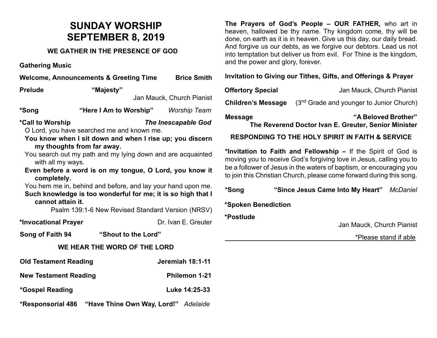# **SUNDAY WORSHIP SEPTEMBER 8, 2019**

### **WE GATHER IN THE PRESENCE OF GOD**

**Gathering Music**

| Welcome, Announcements & Greeting Time Brice Smith                                                                                                                                                                                                                                                                                                                                                                                                                                                                                                             |                        |                      |  |
|----------------------------------------------------------------------------------------------------------------------------------------------------------------------------------------------------------------------------------------------------------------------------------------------------------------------------------------------------------------------------------------------------------------------------------------------------------------------------------------------------------------------------------------------------------------|------------------------|----------------------|--|
| <b>Prelude</b>                                                                                                                                                                                                                                                                                                                                                                                                                                                                                                                                                 | "Majesty"              |                      |  |
| Jan Mauck, Church Pianist                                                                                                                                                                                                                                                                                                                                                                                                                                                                                                                                      |                        |                      |  |
| *Song                                                                                                                                                                                                                                                                                                                                                                                                                                                                                                                                                          | "Here I Am to Worship" | <b>Worship Team</b>  |  |
| *Call to Worship<br><b>The Inescapable God</b><br>O Lord, you have searched me and known me.<br>You know when I sit down and when I rise up; you discern<br>my thoughts from far away.<br>You search out my path and my lying down and are acquainted<br>with all my ways.<br>Even before a word is on my tongue, O Lord, you know it<br>completely.<br>You hem me in, behind and before, and lay your hand upon me.<br>Such knowledge is too wonderful for me; it is so high that I<br>cannot attain it.<br>Psalm 139:1-6 New Revised Standard Version (NRSV) |                        |                      |  |
| *Invocational Prayer                                                                                                                                                                                                                                                                                                                                                                                                                                                                                                                                           |                        | Dr. Ivan E. Greuter  |  |
| Song of Faith 94                                                                                                                                                                                                                                                                                                                                                                                                                                                                                                                                               | "Shout to the Lord"    |                      |  |
| WE HEAR THE WORD OF THE LORD                                                                                                                                                                                                                                                                                                                                                                                                                                                                                                                                   |                        |                      |  |
| <b>Old Testament Reading</b>                                                                                                                                                                                                                                                                                                                                                                                                                                                                                                                                   |                        | Jeremiah 18:1-11     |  |
| <b>New Testament Reading</b>                                                                                                                                                                                                                                                                                                                                                                                                                                                                                                                                   |                        | <b>Philemon 1-21</b> |  |
| *Gospel Reading                                                                                                                                                                                                                                                                                                                                                                                                                                                                                                                                                |                        | Luke 14:25-33        |  |
| "Have Thine Own Way, Lord!" Adelaide<br><b>*Responsorial 486</b>                                                                                                                                                                                                                                                                                                                                                                                                                                                                                               |                        |                      |  |

**The Prayers of God's People – OUR FATHER,** who art in heaven, hallowed be thy name. Thy kingdom come, thy will be done, on earth as it is in heaven. Give us this day, our daily bread. And forgive us our debts, as we forgive our debtors. Lead us not into temptation but deliver us from evil. For Thine is the kingdom, and the power and glory, forever.

#### **Invitation to Giving our Tithes, Gifts, and Offerings & Prayer**

| <b>Offertory Special</b> | Jan Mauck, Church Pianist |
|--------------------------|---------------------------|
|--------------------------|---------------------------|

**Children's Message** (3<sup>nd</sup> Grade and younger to Junior Church)

**Message "A Beloved Brother"** 

**The Reverend Doctor Ivan E. Greuter, Senior Minister**

#### **RESPONDING TO THE HOLY SPIRIT IN FAITH & SERVICE**

**\*Invitation to Faith and Fellowship –** If the Spirit of God is moving you to receive God's forgiving love in Jesus, calling you to be a follower of Jesus in the waters of baptism, or encouraging you to join this Christian Church, please come forward during this song.

**\*Song "Since Jesus Came Into My Heart"** *McDaniel*

#### **\*Spoken Benediction**

**\*Postlude** 

Jan Mauck, Church Pianist

\*Please stand if able